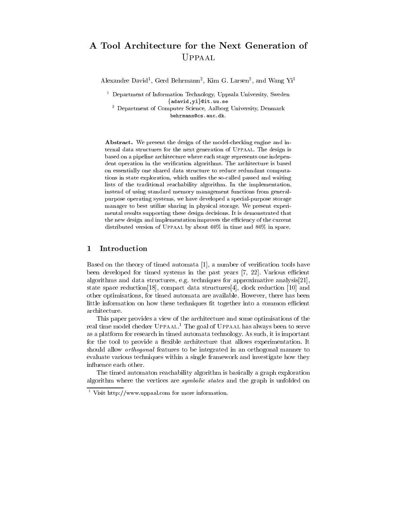# A Tool Architecture for the Next Generation of UPPAAL

Alexandre David", Gerd Behrmann", Klin G. Larsen", and wang Yi

<sup>1</sup> Department of Information Technology, Uppsala University, Sweden  ${adavid, yi}$ @it.uu.se

<sup>2</sup> Department of Computer Science, Aalborg University, Denmark behrmann@cs.auc.dk.

Abstract. We present the design of the model-checking engine and internal data structures for the next generation of Uppaal. The design is based on a pipeline architecture where each stage represents one independent operation in the verification algorithms. The architecture is based on essentially one shared data structure to reduce redundant computations in state exploration, which unies the so-called passed and waiting lists of the traditional reachability algorithm. In the implementation, instead of using standard memory management functions from generalpurpose operating systems, we have developed a special-purpose storage manager to best utilize sharing in physical storage. We present experi mental results supporting these design decisions. It is demonstrated that the new design and implementation improves the efficiency of the current distributed version of Uppaal by about 60% in time and 80% in space.

## 1 Introduction

Based on the theory of timed automata [1], a number of verification tools have been developed for timed systems in the past years [7, 22]. Various efficient algorithms and data structures, e.g. techniques for approximative analysis[21], state space reduction[18], compact data structures[4], clock reduction [10] and other optimisations, for timed automata are available. However, there has been little information on how these techniques fit together into a common efficient architecture.

This paper provides a view of the architecture and some optimisations of the real time model checker UPPAAL.<sup>1</sup> The goal of UPPAAL has always been to serve as a platform for research in timed automata technology. As such, it is important for the tool to provide a flexible architecture that allows experimentation. It should allow *orthogonal* features to be integrated in an orthogonal manner to evaluate various techniques within a single framework and investigate how they in
uence each other.

The timed automaton reachability algorithm is basically a graph exploration algorithm where the vertices are *symbolic states* and the graph is unfolded on

<sup>1</sup> Visit http://www.uppaal.com for more information.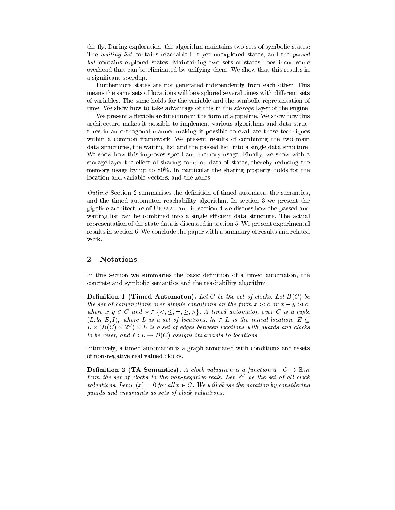the fly. During exploration, the algorithm maintains two sets of symbolic states: The waiting list contains reachable but yet unexplored states, and the passed list contains explored states. Maintaining two sets of states does incur some overhead that can be eliminated by unifying them. We show that this results in a signicant speedup.

Furthermore states are not generated independently from each other. This means the same sets of locations will be explored several times with different sets of variables. The same holds for the variable and the symbolic representation of time. We show how to take advantage of this in the storage layer of the engine.

We present a flexible architecture in the form of a pipeline. We show how this architecture makes it possible to implement various algorithms and data structures in an orthogonal manner making it possible to evaluate these techniques within a common framework. We present results of combining the two main data structures, the waiting list and the passed list, into a single data structure. We show how this improves speed and memory usage. Finally, we show with a storage layer the effect of sharing common data of states, thereby reducing the memory usage by up to 80%. In particular the sharing property holds for the location and variable vectors, and the zones.

Outline Section 2 summarises the definition of timed automata, the semantics, and the timed automaton reachability algorithm. In section 3 we present the pipeline architecture of Uppaal and in section 4 we discuss how the passed and waiting list can be combined into a single efficient data structure. The actual representation of the state data is discussed in section 5. We present experimental results in section 6. We conclude the paper with a summary of results and related

#### $\overline{2}$ **Notations**

In this section we summaries the basic definition of a timed automaton, the concrete and symbolic semantics and the reachability algorithm.

**Definition 1 (Timed Automaton).** Let C be the set of clocks. Let  $B(C)$  be the set of conjunctions over simple conditions on the form  $x \bowtie c$  or  $x - y \bowtie c$ , where  $x, y \in C$  and  $\bowtie \in \{<, \leq, =, \geq, \geq\}$ . A timed automaton over C is a tuple  $(L, l_0, E, I)$ , where L is a set of locations,  $l_0 \in L$  is the initial location,  $E \subseteq$  $L \times (B(C) \times 2^{\circ}) \times L$  is a set of edges between locations with quards and clocks to be reset, and  $I: L \to B(C)$  assigns invariants to locations.

Intuitively, a timed automaton is a graph annotated with conditions and resets of non-negative real valued clocks.

**Definition 2 (TA Semantics).** A clock valuation is a function  $u: C \to \mathbb{R}_{\geq 0}$ from the set of clocks to the non-negative reals. Let  $\mathbb{R}\subseteq\mathbb{C}$  be the set of all clock valuations. Let  $u_0(x)=0$  for all  $x \in C$ . We will abuse the notation by considering guards and invariants as sets of clock valuations.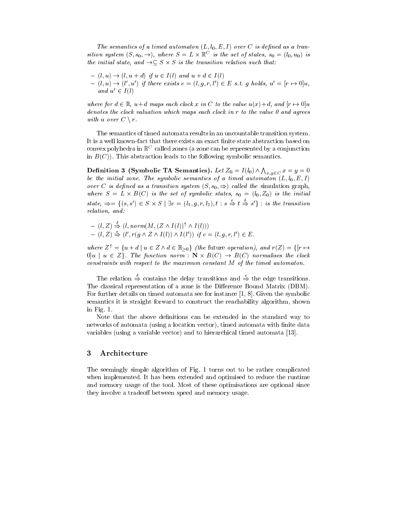The semantics of a timed automaton  $(L, l_0, E, I)$  over C is defined as a transition system  $(S, s_0, \rightarrow)$ , where  $S = L \times \mathbb{R}^{\circ}$  is the set of states,  $s_0 = (l_0, u_0)$  is the initial state, and  $\rightarrow \subseteq S \times S$  is the transition relation such that:

- ${ (l, u) \rightarrow (l, u + d) \text{ if } u \in I(l) \text{ and } u + d \in I(l) }$
- ${ (l, u) \to (l', u') \text{ if there exists } e = (l, g, r, l') \in E \text{ s.t. } g \text{ holds}, u' = |r \mapsto 0|u,$ and  $u' \in I(l)$

where for  $d \in \mathbb{R}$ ,  $u+d$  maps each clock x in C to the value  $u(x)+d$ , and  $[r \mapsto 0]u$ denotes the clock valuation which maps each clock in  $r$  to the value 0 and agrees with u over  $C \setminus r$ .

The semantics of timed automata results in an uncountable transition system. It is a well known-fact that there exists an exact finite state abstraction based on convex polyhedra in RC called zones (a zone can be represented by a conjunction in  $B(C)$ ). This abstraction leads to the following symbolic semantics.

**Definition 3 (Symbolic TA Semantics).** Let  $Z_0 = I(l_0) \wedge \bigwedge_{x,y \in C} x = y = 0$ be the initial zone. The symbolic semantics of a timed automaton  $(L, l_0, E, I)$ over C is defined as a transition system  $(S, s_0, \Rightarrow)$  called the simulation graph, where  $S = L \times B(C)$  is the set of symbolic states,  $s_0 = (l_0, Z_0)$  is the initial  $state, \Rightarrow = \{(s, s') \in S \times S \mid \exists e = (l_1, g, r, l_2), t : s \stackrel{\simeq}{\Rightarrow} t \stackrel{\simeq}{\Rightarrow} s' \}$  : is the transition relation, and: relation, and:

 $(l, Z) \Rightarrow (l, norm(M, (Z \wedge I(l)) \wedge I(l)))$  $(-1, Z) \Rightarrow (l', r(g \wedge Z \wedge I(l)) \wedge I(l'))$  if  $e = (l, g, r, l') \in E$ .

where  $Z^{\uparrow} = \{u + d \mid u \in Z \land d \in \mathbb{R}_{\geq 0}\}\$  (the future operation), and  $r(Z) = \{[r \mapsto$  $0|u|$  |  $u \in Z$ }. The function norm :  $\mathbf{N} \times B(C) \rightarrow B(C)$  normalises the clock constraints with respect to the maximum constant <sup>M</sup> of the timed automaton.

The relation  $\Rightarrow$  contains the delay transitions and  $\Rightarrow$  the edge transitions. The classical representation of a zone is the Difference Bound Matrix (DBM). For further details on timed automata see for instance [1, 8]. Given the symbolic semantics it is straight forward to construct the reachability algorithm, shown in Fig. 1.

Note that the above definitions can be extended in the standard way to networks of automata (using a location vector), timed automata with finite data variables (using a variable vector) and to hierarchical timed automata [13].

### 3 Architecture

The seemingly simple algorithm of Fig. 1 turns out to be rather complicated when implemented. It has been extended and optimised to reduce the runtime and memory usage of the tool. Most of these optimisations are optional since they involve a tradeoff between speed and memory usage.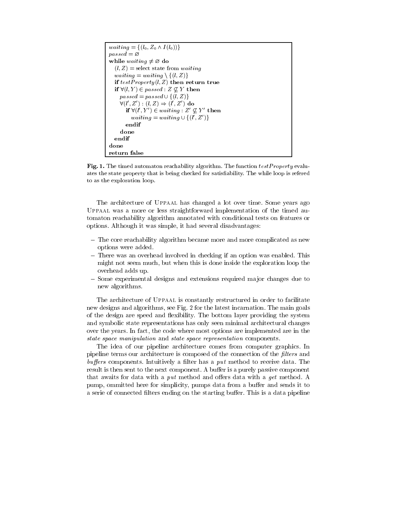```
waiting = \{(l_0, Z_0 \wedge I(l_0))\}passed = ?
while waiting \neq \emptyset do
  (l, Z) = select state from waiting
  waiting = waiting \setminus \{(l, Z)\}if testProperty(l, Z) then return true
  if \forall (l, Y) \in passed : Z \nsubseteq Y then
     passed = passed \cup \{(l, Z)\}\forall (l', Z') : (l, Z) \Rightarrow (l', Z') do
       if \forall (l',Y') \in waiting: Z' \not\subseteq Y' then
         waiting = waiting \cup \{(l', Z')\}endif
    done
  endif
done
return false
```
Fig. 1. The timed automaton reachability algorithm. The function  $testProperty$  evaluates the state property that is being checked for satisfiability. The while loop is refered to as the exploration loop.

The architecture of Uppaal has changed a lot over time. Some years ago Uppaal was a more or less straightforward implementation of the timed automaton reachability algorithm annotated with conditional tests on features or options. Although it was simple, it had several disadvantages:

- The core reachability algorithm became more and more complicated as new options were added.
- { There was an overhead involved in checking if an option was enabled. This might not seem much, but when this is done inside the exploration loop the overhead adds up.
- ${ -}$  Some experimental designs and extensions required major changes due to new algorithms.

The architecture of UPPAAL is constantly restructured in order to facilitate new designs and algorithms, see Fig. 2 for the latest incarnation. The main goals of the design are speed and flexibility. The bottom layer providing the system and symbolic state representations has only seen minimal architectural changes over the years. In fact, the code where most options are implemented are in the state space manipulation and state space representation components.

The idea of our pipeline architecture comes from computer graphics. In pipeline terms our architecture is composed of the connection of the *filters* and  $buffers$  components. Intuitively a filter has a put method to receive data. The result is then sent to the next component. A buffer is a purely passive component that awaits for data with a put method and offers data with a get method. A pump, ommitted here for simplicity, pumps data from a buffer and sends it to a serie of connected filters ending on the starting buffer. This is a data pipeline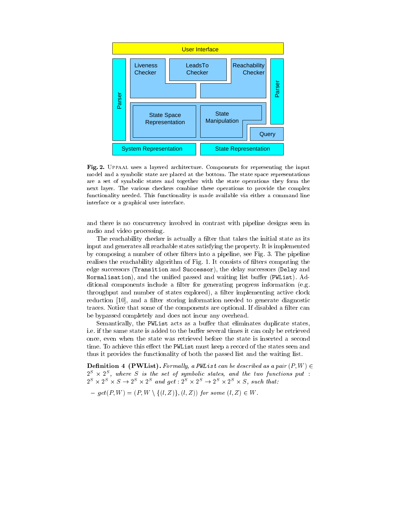

Fig. 2. Uppaal uses a layered architecture. Components for representing the input model and a symbolic state are placed at the bottom. The state space representations are a set of symbolic states and together with the state operations they form the next layer. The various checkers combine these operations to provide the complex functionality needed. This functionality is made available via either a command line interface or a graphical user interface.

and there is no concurrency involved in contrast with pipeline designs seen in audio and video processing.

The reachability checker is actually a filter that takes the initial state as its input and generates all reachable states satisfying the property. It is implemented by composing a number of other filters into a pipeline, see Fig. 3. The pipeline realises the reachability algorithm of Fig. 1. It consists of lters computing the edge successors (Transition and Successor), the delay successors (Delay and Normalisation), and the unified passed and waiting list buffer (PWList). Additional components include a filter for generating progress information (e.g. throughput and number of states explored), a filter implementing active clock reduction [10], and a filter storing information needed to generate diagnostic traces. Notice that some of the components are optional. If disabled a filter can be bypassed completely and does not incur any overhead.

Semantically, the PWL ist acts as a buffer that eliminates duplicate states, i.e. if the same state is added to the buffer several times it can only be retrieved once, even when the state was retrieved before the state is inserted a second time. To achieve this effect the PWL ist must keep a record of the states seen and thus it provides the functionality of both the passed list and the waiting list.

**Definition 4** (PWList). Formally, a PWL ist can be described as a pair  $(P, W) \in$  $2^S \times 2^S$ , where S is the set of symbolic states, and the two functions put :<br> $2^S \times 2^S \times S \rightarrow 2^S \times 2^S$  and get :  $2^S \times 2^S \times 2^S \times S$  such that:

 ${ g e t(P, W) = (P, W \setminus \{(l, Z)\}, (l, Z)) \ for \ some \ (l, Z) \in W}.$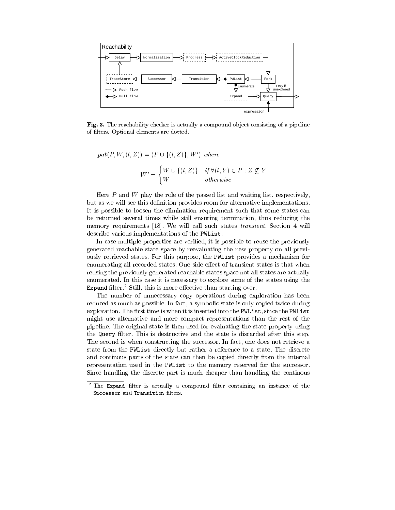

Fig. 3. The reachability checker is actually a compound object consisting of a pipeline of lters. Optional elements are dotted.

 $= put(P, W, (l, Z)) = (P \cup \{(l, Z)\}, W')$  where

$$
W' = \begin{cases} W \cup \{ (l, Z) \} & \text{if } \forall (l, Y) \in P : Z \nsubseteq Y \\ W & \text{otherwise} \end{cases}
$$

Here  $P$  and  $W$  play the role of the passed list and waiting list, respectively, but as we will see this definition provides room for alternative implementations. It is possible to loosen the elimination requirement such that some states can be returned several times while still ensuring termination, thus reducing the memory requirements [18]. We will call such states transient. Section 4 will describe various implementations of the PWList.

In case multiple properties are veried, it is possible to reuse the previously generated reachable state space by reevaluating the new property on all previously retrieved states. For this purpose, the PWList provides a mechanism for enumerating all recorded states. One side effect of transient states is that when reusing the previously generated reachable states space not all states are actually enumerated. In this case it is necessary to explore some of the states using the Expand filter.<sup>2</sup> Still, this is more effective than starting over.

The number of unnecessary copy operations during exploration has been reduced as much as possible. In fact, a symbolic state is only copied twice during exploration. The first time is when it is inserted into the PWList, since the PWList might use alternative and more compact representations than the rest of the pipeline. The original state is then used for evaluating the state property using the Query filter. This is destructive and the state is discarded after this step. The second is when constructing the successor. In fact, one does not retrieve a state from the PWList directly but rather a reference to a state. The discrete and continous parts of the state can then be copied directly from the internal representation used in the PWList to the memory reserved for the successor. Since handling the discrete part is much cheaper than handling the continous

<sup>2</sup> The Expand lter is actually a compound lter containing an instance of the Successor and Transition filters.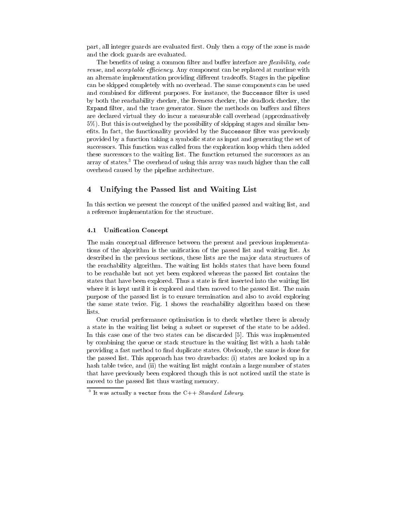part, all integer guards are evaluated first. Only then a copy of the zone is made and the clock guards are evaluated.

The benefits of using a common filter and buffer interface are *flexibility, code* reuse, and acceptable efficiency. Any component can be replaced at runtime with an alternate implementation providing different tradeoffs. Stages in the pipeline can be skipped completely with no overhead. The same components can be used and combined for different purposes. For instance, the Successor filter is used by both the reachability checker, the liveness checker, the deadlock checker, the Expand filter, and the trace generator. Since the methods on buffers and filters are declared virtual they do incur a measurable call overhead (approximatively 5%). But this is outweighed by the possibility of skipping stages and similar benefits. In fact, the functionality provided by the Successor filter was previously provided by a function taking a symbolic state as input and generating the set of successors. This function was called from the exploration loop which then added these successors to the waiting list. The function returned the successors as an array of states.<sup>3</sup> The overhead of using this array was much higher than the call overhead caused by the pipeline architecture.

#### 4 Unifying the Passed list and Waiting List  $\overline{\mathbf{4}}$

In this section we present the concept of the unified passed and waiting list, and a reference implementation for the structure.

### 4.1 Unication Concept

The main conceptual difference between the present and previous implementations of the algorithm is the unification of the passed list and waiting list. As described in the previous sections, these lists are the major data structures of the reachability algorithm. The waiting list holds states that have been found to be reachable but not yet been explored whereas the passed list contains the states that have been explored. Thus a state is first inserted into the waiting list where it is kept until it is explored and then moved to the passed list. The main purpose of the passed list is to ensure termination and also to avoid exploring the same state twice. Fig. 1 shows the reachability algorithm based on these lists.

One crucial performance optimisation isto check whether there is already a state in the waiting list being a subset or superset of the state to be added. In this case one of the two states can be discarded [5]. This was implemented by combining the queue or stack structure in the waiting list with a hash table providing a fast method to find duplicate states. Obviously, the same is done for the passed list. This approach has two drawbacks: (i) states are looked up in a hash table twice, and (ii) the waiting list might contain a large number of states that have previously been explored though this is not noticed until the state is moved to the passed list thus wasting memory.

The was actually a vector from the  $C++$  Standard Library.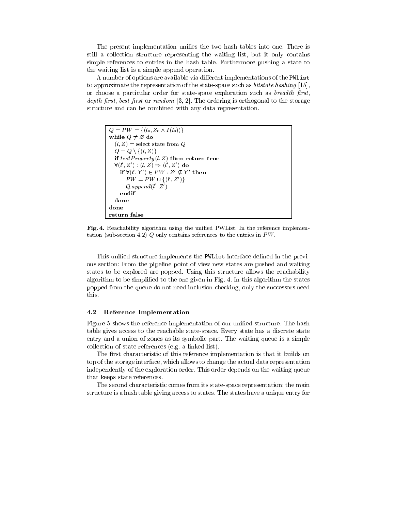The present implementation unifies the two hash tables into one. There is still a collection structure representing the waiting list, but it only contains simple references to entries in the hash table. Furthermore pushing a state to the waiting list is a simple append operation.

A number of options are available via different implementations of the PWList to approximate the representation of the state-space such as *bitstate hashing* [15], or choose a particular order for state-space exploration such as *breadth* first, depth first, best first or random  $[3, 2]$ . The ordering is orthogonal to the storage structure and can be combined with any data representation.

```
Q = PW = \{(l_0, Z_0 \wedge I(l_0))\}while Q \neq \emptyset do
  (l, Z) = select state from Q
  Q = Q \setminus \{(l, Z)\}\if testProperty(l, Z) then return true
  \forall (l', Z') : (l, Z) \Rightarrow (l', Z') do
     if \forall (l',Y') \in PW : Z' \not\subseteq Y' then
       PW = PW \cup \{(l', Z')\}Q append(i, Z)
    endif
  done
done
return false
```
Fig. 4. Reachability algorithm using the unified PWList. In the reference implementation (sub-section 4.2) <sup>Q</sup> only contains references to the entries in PW.

This unified structure implements the PWL ist interface defined in the previous section: From the pipeline point of view new states are pushed and waiting states to be explored are popped. Using this structure allows the reachability algorithm to be simplified to the one given in Fig. 4. In this algorithm the states popped from the queue do not need inclusion checking, only the successors need this.

### 4.2 Reference Implementation

Figure 5 shows the reference implementation of our unified structure. The hash table gives access to the reachable state-space. Every state has a discrete state entry and a union of zones as its symbolic part. The waiting queue is a simple collection of state references (e.g. a linked list).

The first characteristic of this reference implementation is that it builds on top of the storage interface, which allows to change the actual data representation independently of the exploration order. This order depends on the waiting queue that keeps state references.

The second characteristic comes from its state-space representation: the main structure is a hash table giving access to states. The states have a unique entry for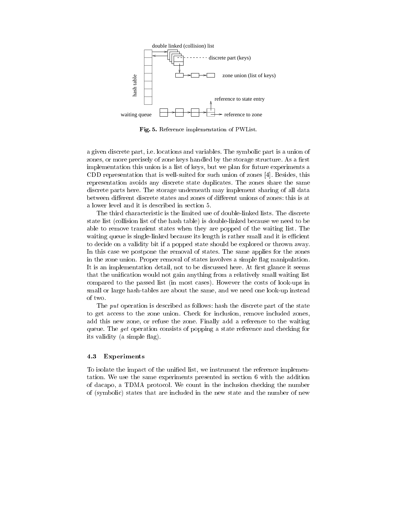

Fig. 5. Reference implementation of PWList.

a given discrete part, i.e. locations and variables. The symbolic part is a union of zones, or more precisely of zone keys handled by the storage structure. As a first implementation this union is a list of keys, but we plan for future experiments a CDD representation that is well-suited for such union of zones [4]. Besides, this representation avoids any discrete state duplicates. The zones share the same discrete parts here. The storage underneath may implement sharing of all data between different discrete states and zones of different unions of zones: this is at a lower level and it is described in section 5.

The third characteristic is the limited use of double-linked lists. The discrete state list (collision list of the hash table) is double-linked because we need to be able to remove transient states when they are popped of the waiting list. The waiting queue is single-linked because its length is rather small and it is efficient to decide on a validity bit if a popped state should be explored or thrown away. In this case we postpone the removal of states. The same applies for the zones in the zone union. Proper removal of states involves a simple flag manipulation. It is an implementation detail, not to be discussed here. At first glance it seems that the unification would not gain anything from a relatively small waiting list compared to the passed list (in most cases). However the costs of look-ups in small or large hash-tables are about the same, and we need one look-up instead of two.

The *put* operation is described as follows: hash the discrete part of the state to get access to the zone union. Check for inclusion, remove included zones, add this new zone, or refuse the zone. Finally add a reference to the waiting queue. The *get* operation consists of popping a state reference and checking for its validity (a simple flag).

### 4.3 Experiments

To isolate the impact of the unified list, we instrument the reference implementation. We use the same experiments presented in section 6 with the addition of dacapo, a TDMA protocol. We count in the inclusion checking the number of (symbolic) states that are included in the new state and the number of new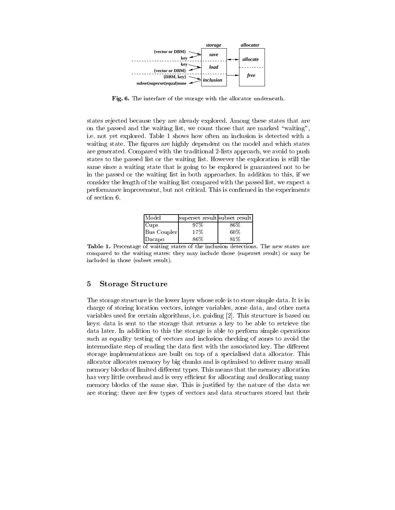

Fig. 6. The interface of the storage with the allocator underneath.

states rejected because they are already explored. Among these states that are on the passed and the waiting list, we count those that are marked \waiting", i.e. not yet explored. Table 1 shows how often an inclusion is detected with a waiting state. The figures are highly dependent on the model and which states are generated. Compared with the traditional 2-lists approach, we avoid to push states to the passed list or the waiting list. However the exploration is still the same since a waiting state that is going to be explored is guaranteed not to be in the passed or the waiting list in both approaches. In addition to this, if we consider the length of the waiting list compared with the passed list, we expect a performance improvement, but not critical. This is confirmed in the experiments of section 6.

| $\operatorname{\mathsf{Model}}$ | superset result subset result |     |
|---------------------------------|-------------------------------|-----|
| Cups                            | 97%                           | 86% |
| Bus Coupler                     | 17%                           | 60% |
| Dacapo                          | 86%                           | 81% |

Table 1. Percentage of waiting states of the inclusion detections. The new states are compared to the waiting states: they may include those (superset result) or may be included in those (subset result).

#### 5 5 Storage Structure

The storage structure is the lower layer whose role is to store simple data. It is in charge of storing location vectors, integer variables, zone data, and other meta variables used for certain algorithms, i.e. guiding [2]. This structure is based on keys: data is sent to the storage that returns a key to be able to retrieve the data later. In addition to this the storage is able to perform simple operations such as equality testing of vectors and inclusion checking of zones to avoid the intermediate step of reading the data first with the associated key. The different storage implementations are built on top of a specialised data allocator. This allocator allocates memory by big chunks and is optimised to deliver many small memory blocks of limited different types. This means that the memory allocation has very little overhead and is very efficient for allocating and deallocating many memory blocks of the same size. This is justied by the nature of the data we are storing: there are few types of vectors and data structures stored but their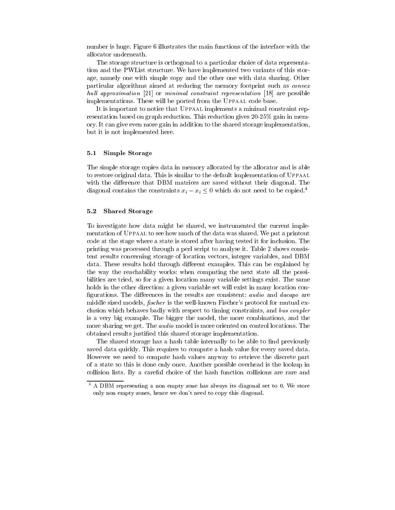number is huge. Figure 6 illustrates the main functions of the interface with the allocator underneath.

The storage structure is orthogonal to a particular choice of data representation and the PWList structure. We have implemented two variants of this storage, namely one with simple copy and the other one with data sharing. Other particular algorithms aimed at reducing the memory footprint such as convex hull approximation [21] or minimal constraint representation  $[18]$  are possible implementations. These will be ported from the Uppaal code base.

It is important to notice that UPPAAL implements a minimal constraint representation based on graph reduction. This reduction gives 20-25% gain in memory. It can give even more gain in addition to the shared storage implementation, but it is not implemented here.

### 5.1 Simple Storage

The simple storage copies data in memory allocated by the allocator and is able to restore original data. This is similar to the default implementation of Uppaal with the difference that DBM matrices are saved without their diagonal. The diagonal contains the constraints  $x_i - x_i \leq 0$  which do not need to be copied.<sup>4</sup>

### 5.2 Shared Storage

To investigate how data might be shared, we instrumented the current implementation of Uppaal to see how much of the data was shared. We put a printout code at the stage where a state is stored after having tested it for inclusion. The printing was processed through a perl script to analyse it. Table 2 shows consistent results concerning storage of location vectors, integer variables, and DBM data. These results hold through different examples. This can be explained by the way the reachability works: when computing the next state all the possibilities are tried, so for a given location many variable settings exist. The same holds in the other direction: a given variable set will exist in many location configurations. The differences in the results are consistent: *audio* and *dacapo* are middle sized models, *fischer* is the well-known Fischer's protocol for mutual exclusion which behaves badly with respect to timing constraints, and bus coupler is a very big example. The bigger the model, the more combinations, and the more sharing we get. The *audio* model is more oriented on control locations. The obtained results justied this shared storage implementation.

The shared storage has a hash table internally to be able to find previously saved data quickly. This requires to compute a hash value for every saved data. However we need to compute hash values anyway to retrieve the discrete part of a state so this is done only once. Another possible overhead is the lookup in collision lists. By a careful choice of the hash function collisions are rare and

<sup>4</sup> A DBM representing a non empty zone has always its diagonal set to 0. We store only non empty zones, hence we don't need to copy this diagonal.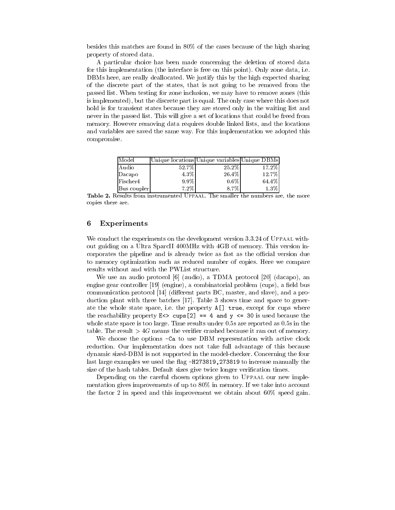besides this matches are found in 80% of the cases because of the high sharing property of stored data. property of stored data.

A particular choice has been made concerning the deletion of stored data for this implementation (the interface is free on this point). Only zone data, i.e. DBMs here, are really deallocated. We justify this by the high expected sharing of the discrete part of the states, that is not going to be removed from the passed list. When testing for zone inclusion, we may have to remove zones (this is implemented), but the discrete part is equal. The only case where this does not hold is for transient states because they are stored only in the waiting list and never in the passed list. This will give a set of locations that could be freed from memory. However removing data requires double linked lists, and the locations and variables are saved the same way. For this implementation we adopted this compromise.

| Model       | Unique locations Unique variables Unique DBMs |         |       |
|-------------|-----------------------------------------------|---------|-------|
| Audio       | 52.7%                                         | 25.2%   | 17.2% |
| Dacapo      | 4.3%                                          | 26.4%   | 12.7% |
| Fischer4    | $9.9\%$                                       | $0.6\%$ | 64.4% |
| Bus coupler | 7.2%                                          | 8.7%    | 1.3%  |

Table 2. Results from instrumented Uppaal. The smaller the numbers are, the more copies there are.

### 6 Experiments

We conduct the experiments on the development version 3.3.24 of UPPAAL without guiding on a Ultra SparcII 400MHz with 4GB of memory. This version incorporates the pipeline and is already twice as fast as the official version due to memory optimization such as reduced number of copies. Here we compare results without and with the PWList structure.

We use an audio protocol [6] (audio), a TDMA protocol [20] (dacapo), an engine gear controller  $[19]$  (engine), a combinatorial problem (cups), a field bus communication protocol [14] (different parts BC, master, and slave), and a production plant with three batches [17]. Table 3 shows time and space to generate the whole state space, i.e. the property A[] true, except for cups where the reachability property  $E \le \text{cups}[2] == 4$  and  $y \le 30$  is used because the whole state space is too large. Time results under 0.5s are reported as 0.5s in the table. The result  $> 4G$  means the verifier crashed because it ran out of memory.

We choose the options -Ca to use DBM representation with active clock reduction. Our implementation does not take full advantage of this because dynamic sized-DBM is not supported in the model-checker. Concerning the four last large examples we used the flag  $-H273819$ , 273819 to increase manually the size of the hash tables. Default sizes give twice longer verification times.

Depending on the careful chosen options given to Uppaal our new implementation gives improvements of up to 80% in memory. If we take into account the factor 2 in speed and this improvement we obtain about 60% speed gain.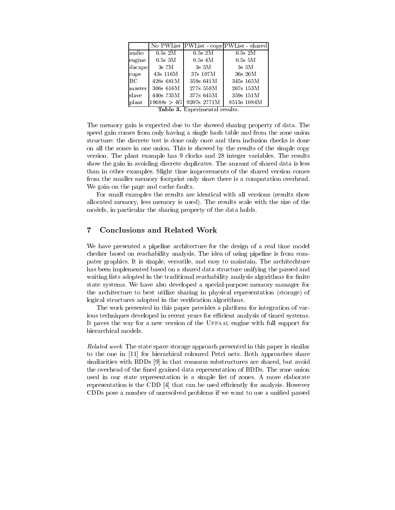|         |                    |             | No PWList   PWList - copy   PWList - shared |
|---------|--------------------|-------------|---------------------------------------------|
| laudio  | $0.5s$ $2M$        | $0.5s$ 2M   | $0.5s$ 2M                                   |
| engine  | 0.5s <sub>3M</sub> | $0.5s$ 4M   | $0.5s$ 5M                                   |
| dacapol | $3s$ $7M$          | 3s.5M       | 3s <sub>5</sub> M                           |
| cups    | 43s 116M           | 37s 107M    | 36s 26M                                     |
| IBC.    | 428s 681M          | 359s 641M   | 345s 165M                                   |
| master  | $306s$ 616M        | 277s 558M   | 267s 153M                                   |
| slave   | 440s 735M          | 377s 645M   | 359s 151M                                   |
| plant   | 19688s > 4G        | 9207s 2771M | 8513s 1084M                                 |

Table 3. Experimental results.

The memory gain is expected due to the showed sharing property of data. The speed gain comes from only having a single hash table and from the zone union structure: the discrete test is done only once and then inclusion checks is done on all the zones in one union. This is showed by the results of the simple copy version. The plant example has 9 clocks and 28 integer variables. The results show the gain in avoiding discrete duplicates. The amount of shared data is less than in other examples. Slight time improvements of the shared version comes from the smaller memory footprint only since there is a computation overhead. We gain on the page and cache faults.

For small examples the results are identical with all versions (results show allocated memory, less memory is used). The results scale with the size of the models, in particular the sharing property of the data holds.

# 7 Conclusions and Related Work

We have presented a pipeline architecture for the design of a real time model checker based on reachability analysis. The idea of using pipeline is from computer graphics. It is simple, versatile, and easy to maintain. The architechture has been implemented based on a shared data structure unifying the passed and waiting lists adopted in the traditional reachability analysis algorithms for finite state systems. We have also developed a special-purpose memory manager for the architecture to best utilize sharing in physical representation (storage) of logical structures adopted in the verification algorithms.

The work presented in this paper provides a platform for integration of various techniques developed in recent years for efficient analysis of timed systems. It paves the way for a new version of the Uppaal engine with full support for hierarchical models.

Related work The state space storage approach presented in this paper is similar to the one in [11] for hierarhical coloured Petri nets. Both approaches share similarities with BDDs [9] in that common substructures are shared, but avoid the overhead of the fined grained data representation of BDDs. The zone union used in our state representation is a simple list of zones. A more elaborate representation is the CDD [4] that can be used efficiently for analysis. However CDDs pose a number of unresolved problems if we want to use a unied passed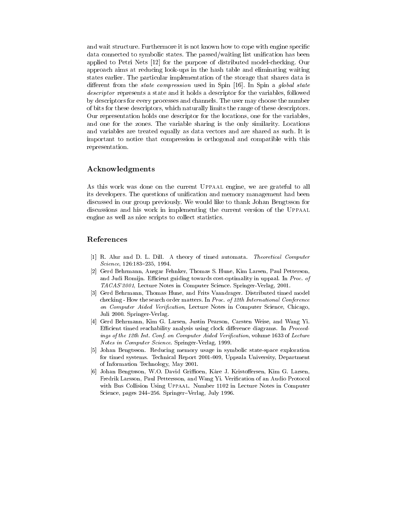and wait structure. Furthermore it is not known how to cope with engine specific data connected to symbolic states. The passed/waiting list unication has been applied to Petri Nets [12] for the purpose of distributed model-checking. Our approach aims at reducing look-ups in the hash table and eliminating waiting states earlier. The particular implementation of the storage that shares data is different from the *state compression* used in Spin [16]. In Spin a *global state* descriptor represents a state and it holds a descriptor for the variables, followed by descriptors for every processes and channels. The user may choose the number of bits for these descriptors, which naturally limits the range of these descriptors. Our representation holds one descriptor for the locations, one for the variables, and one for the zones. The variable sharing is the only similarity. Locations and variables are treated equally as data vectors and are shared as such. It is important to notice that compression is orthogonal and compatible with this representation.

# Acknowledgments

As this work was done on the current Uppaal engine, we are grateful to all its developers. The questions of unification and memory management had been discussed in our group previously. We would like to thank Johan Bengtsson for discussions and his work in implementing the current version of the Uppaal engine as well as nice scripts to collect statistics.

# References

- [1] R. Alur and D. L. Dill. A theory of timed automata. Theoretical Computer Science, 126:183-235, 1994.
- [2] Gerd Behrmann, Ansgar Fehnker, Thomas S. Hune, Kim Larsen, Paul Petterson, and Judi Romijn. Efficient guiding towards cost-optimality in uppaal. In Proc. of TACAS'2001, Lecture Notes in Computer Science. Springer-Verlag, 2001.
- [3] Gerd Behrmann, Thomas Hune, and Frits Vaandrager. Distributed timed model checking - How the search order matters. In Proc. of 12th International Conference on Computer Aided Verification, Lecture Notes in Computer Science, Chicago, Juli 2000. Springer-Verlag.
- [4] Gerd Behrmann, Kim G. Larsen, Justin Pearson, Carsten Weise, and Wang Yi. Efficient timed reachability analysis using clock difference diagrams. In Proceedings of the 12th Int. Conf. on Computer Aided Verification, volume 1633 of Lecture Notes in Computer Science. Springer-Verlag, 1999.
- [5] Johan Bengtsson. Reducing memory usage in symbolic state-space exploration for timed systems. Technical Report 2001-009, Uppsala University, Department of Information Technology, May 2001.
- [6] Johan Bengtsson, W.O. David Griffioen, Kåre J. Kristoffersen, Kim G. Larsen, Fredrik Larsson, Paul Pettersson, and Wang Yi. Verification of an Audio Protocol with Bus Collision Using Uppaal. Number 1102 in Lecture Notes in Computer Science, pages 244-256. Springer-Verlag, July 1996.